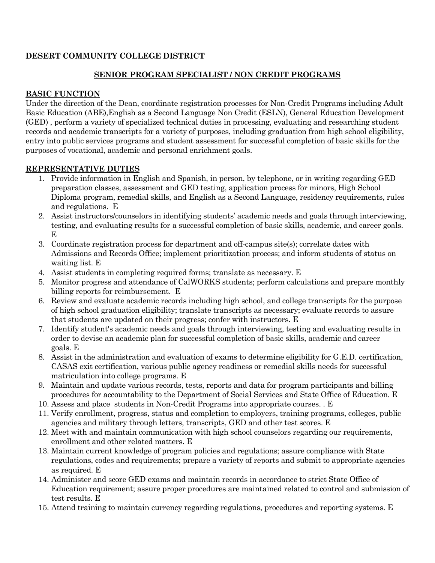## **DESERT COMMUNITY COLLEGE DISTRICT**

# **SENIOR PROGRAM SPECIALIST / NON CREDIT PROGRAMS**

# **BASIC FUNCTION**

Under the direction of the Dean, coordinate registration processes for Non-Credit Programs including Adult Basic Education (ABE),English as a Second Language Non Credit (ESLN), General Education Development (GED) , perform a variety of specialized technical duties in processing, evaluating and researching student records and academic transcripts for a variety of purposes, including graduation from high school eligibility, entry into public services programs and student assessment for successful completion of basic skills for the purposes of vocational, academic and personal enrichment goals.

# **REPRESENTATIVE DUTIES**

- 1. Provide information in English and Spanish, in person, by telephone, or in writing regarding GED preparation classes, assessment and GED testing, application process for minors, High School Diploma program, remedial skills, and English as a Second Language, residency requirements, rules and regulations. E
- 2. Assist instructors/counselors in identifying students' academic needs and goals through interviewing, testing, and evaluating results for a successful completion of basic skills, academic, and career goals. E
- 3. Coordinate registration process for department and off-campus site(s); correlate dates with Admissions and Records Office; implement prioritization process; and inform students of status on waiting list. E
- 4. Assist students in completing required forms; translate as necessary. E
- 5. Monitor progress and attendance of CalWORKS students; perform calculations and prepare monthly billing reports for reimbursement. E
- 6. Review and evaluate academic records including high school, and college transcripts for the purpose of high school graduation eligibility; translate transcripts as necessary; evaluate records to assure that students are updated on their progress; confer with instructors. E
- 7. Identify student's academic needs and goals through interviewing, testing and evaluating results in order to devise an academic plan for successful completion of basic skills, academic and career goals. E
- 8. Assist in the administration and evaluation of exams to determine eligibility for G.E.D. certification, CASAS exit certification, various public agency readiness or remedial skills needs for successful matriculation into college programs. E
- 9. Maintain and update various records, tests, reports and data for program participants and billing procedures for accountability to the Department of Social Services and State Office of Education. E
- 10. Assess and place students in Non-Credit Programs into appropriate courses. . E
- 11. Verify enrollment, progress, status and completion to employers, training programs, colleges, public agencies and military through letters, transcripts, GED and other test scores. E
- 12. Meet with and maintain communication with high school counselors regarding our requirements, enrollment and other related matters. E
- 13. Maintain current knowledge of program policies and regulations; assure compliance with State regulations, codes and requirements; prepare a variety of reports and submit to appropriate agencies as required. E
- 14. Administer and score GED exams and maintain records in accordance to strict State Office of Education requirement; assure proper procedures are maintained related to control and submission of test results. E
- 15. Attend training to maintain currency regarding regulations, procedures and reporting systems. E